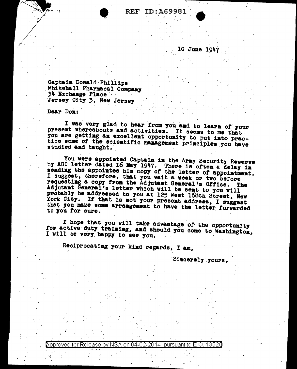## **REF ID: A69981**

10 June 1947

Captain Donald Phillips Whitehall Pharmacal Company 34 Exchange Place Jersey City 3, New Jersey

Dear Don:

I was very glad to hear from you and to learn of your present whereabouts and activities. It seems to me that you are getting an excellent opportunity to put into practice some of the scientific management principles you have studied and taught.

You were appointed Captain in the Army Security Reserve by AGO letter dated 16 May 1947. There is often a delay in seading the appointee his copy of the letter of appointment. I suggest, therefore, that you wait a week or two before requesting a copy from the Adjutant General's Office. The Adjutant General's letter which will be sent to you will probably be addressed to you at 125 West 168th Street, New York City. If that is not your present address, I suggest that you make some arrangement to have the letter forwarded to you for sure.

I hope that you will take advantage of the opportunity for active duty training, and should you come to Washington, I will be very happy to see you.

Reciprocating your kind regards, I am,

Sincerely yours,

Approved for Release by NSA 135 on 04 pursuant to  $E$ . O